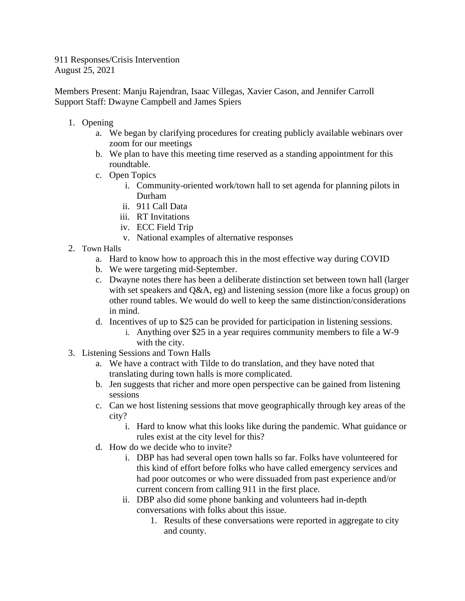911 Responses/Crisis Intervention August 25, 2021

Members Present: Manju Rajendran, Isaac Villegas, Xavier Cason, and Jennifer Carroll Support Staff: Dwayne Campbell and James Spiers

- 1. Opening
	- a. We began by clarifying procedures for creating publicly available webinars over zoom for our meetings
	- b. We plan to have this meeting time reserved as a standing appointment for this roundtable.
	- c. Open Topics
		- i. Community-oriented work/town hall to set agenda for planning pilots in Durham
		- ii. 911 Call Data
		- iii. RT Invitations
		- iv. ECC Field Trip
		- v. National examples of alternative responses
- 2. Town Halls
	- a. Hard to know how to approach this in the most effective way during COVID
	- b. We were targeting mid-September.
	- c. Dwayne notes there has been a deliberate distinction set between town hall (larger with set speakers and Q&A, eg) and listening session (more like a focus group) on other round tables. We would do well to keep the same distinction/considerations in mind.
	- d. Incentives of up to \$25 can be provided for participation in listening sessions.
		- i. Anything over \$25 in a year requires community members to file a W-9 with the city.
- 3. Listening Sessions and Town Halls
	- a. We have a contract with Tilde to do translation, and they have noted that translating during town halls is more complicated.
	- b. Jen suggests that richer and more open perspective can be gained from listening sessions
	- c. Can we host listening sessions that move geographically through key areas of the city?
		- i. Hard to know what this looks like during the pandemic. What guidance or rules exist at the city level for this?
	- d. How do we decide who to invite?
		- i. DBP has had several open town halls so far. Folks have volunteered for this kind of effort before folks who have called emergency services and had poor outcomes or who were dissuaded from past experience and/or current concern from calling 911 in the first place.
		- ii. DBP also did some phone banking and volunteers had in-depth conversations with folks about this issue.
			- 1. Results of these conversations were reported in aggregate to city and county.